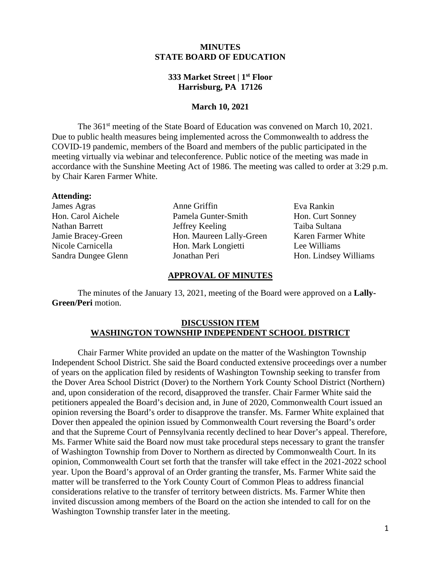# **MINUTES STATE BOARD OF EDUCATION**

# **333 Market Street | 1st Floor Harrisburg, PA 17126**

#### **March 10, 2021**

The 361<sup>st</sup> meeting of the State Board of Education was convened on March 10, 2021. Due to public health measures being implemented across the Commonwealth to address the COVID-19 pandemic, members of the Board and members of the public participated in the meeting virtually via webinar and teleconference. Public notice of the meeting was made in accordance with the Sunshine Meeting Act of 1986. The meeting was called to order at 3:29 p.m. by Chair Karen Farmer White.

#### **Attending:**

James Agras Hon. Carol Aichele Nathan Barrett Jamie Bracey-Green Nicole Carnicella Sandra Dungee Glenn

Anne Griffin Pamela Gunter-Smith Jeffrey Keeling Hon. Maureen Lally-Green Hon. Mark Longietti Jonathan Peri

Eva Rankin Hon. Curt Sonney Taiba Sultana Karen Farmer White Lee Williams Hon. Lindsey Williams

#### **APPROVAL OF MINUTES**

The minutes of the January 13, 2021, meeting of the Board were approved on a **Lally-Green/Peri** motion.

#### **DISCUSSION ITEM WASHINGTON TOWNSHIP INDEPENDENT SCHOOL DISTRICT**

Chair Farmer White provided an update on the matter of the Washington Township Independent School District. She said the Board conducted extensive proceedings over a number of years on the application filed by residents of Washington Township seeking to transfer from the Dover Area School District (Dover) to the Northern York County School District (Northern) and, upon consideration of the record, disapproved the transfer. Chair Farmer White said the petitioners appealed the Board's decision and, in June of 2020, Commonwealth Court issued an opinion reversing the Board's order to disapprove the transfer. Ms. Farmer White explained that Dover then appealed the opinion issued by Commonwealth Court reversing the Board's order and that the Supreme Court of Pennsylvania recently declined to hear Dover's appeal. Therefore, Ms. Farmer White said the Board now must take procedural steps necessary to grant the transfer of Washington Township from Dover to Northern as directed by Commonwealth Court. In its opinion, Commonwealth Court set forth that the transfer will take effect in the 2021-2022 school year. Upon the Board's approval of an Order granting the transfer, Ms. Farmer White said the matter will be transferred to the York County Court of Common Pleas to address financial considerations relative to the transfer of territory between districts. Ms. Farmer White then invited discussion among members of the Board on the action she intended to call for on the Washington Township transfer later in the meeting.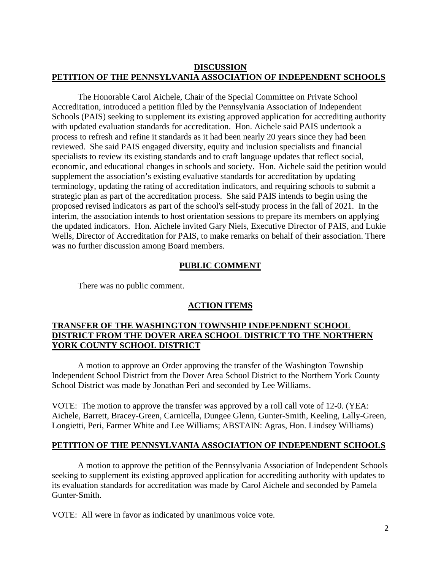# **DISCUSSION PETITION OF THE PENNSYLVANIA ASSOCIATION OF INDEPENDENT SCHOOLS**

The Honorable Carol Aichele, Chair of the Special Committee on Private School Accreditation, introduced a petition filed by the Pennsylvania Association of Independent Schools (PAIS) seeking to supplement its existing approved application for accrediting authority with updated evaluation standards for accreditation. Hon. Aichele said PAIS undertook a process to refresh and refine it standards as it had been nearly 20 years since they had been reviewed. She said PAIS engaged diversity, equity and inclusion specialists and financial specialists to review its existing standards and to craft language updates that reflect social, economic, and educational changes in schools and society. Hon. Aichele said the petition would supplement the association's existing evaluative standards for accreditation by updating terminology, updating the rating of accreditation indicators, and requiring schools to submit a strategic plan as part of the accreditation process. She said PAIS intends to begin using the proposed revised indicators as part of the school's self-study process in the fall of 2021. In the interim, the association intends to host orientation sessions to prepare its members on applying the updated indicators. Hon. Aichele invited Gary Niels, Executive Director of PAIS, and Lukie Wells, Director of Accreditation for PAIS, to make remarks on behalf of their association. There was no further discussion among Board members.

### **PUBLIC COMMENT**

There was no public comment.

# **ACTION ITEMS**

# **TRANSFER OF THE WASHINGTON TOWNSHIP INDEPENDENT SCHOOL DISTRICT FROM THE DOVER AREA SCHOOL DISTRICT TO THE NORTHERN YORK COUNTY SCHOOL DISTRICT**

A motion to approve an Order approving the transfer of the Washington Township Independent School District from the Dover Area School District to the Northern York County School District was made by Jonathan Peri and seconded by Lee Williams.

VOTE: The motion to approve the transfer was approved by a roll call vote of 12-0. (YEA: Aichele, Barrett, Bracey-Green, Carnicella, Dungee Glenn, Gunter-Smith, Keeling, Lally-Green, Longietti, Peri, Farmer White and Lee Williams; ABSTAIN: Agras, Hon. Lindsey Williams)

### **PETITION OF THE PENNSYLVANIA ASSOCIATION OF INDEPENDENT SCHOOLS**

A motion to approve the petition of the Pennsylvania Association of Independent Schools seeking to supplement its existing approved application for accrediting authority with updates to its evaluation standards for accreditation was made by Carol Aichele and seconded by Pamela Gunter-Smith.

VOTE: All were in favor as indicated by unanimous voice vote.